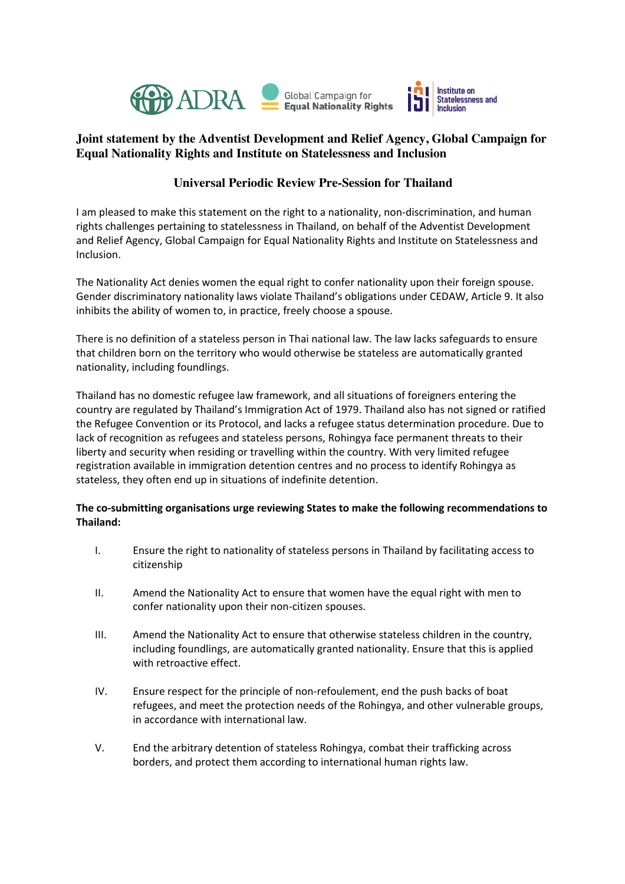

## **Joint statement by the Adventist Development and Relief Agency, Global Campaign for Equal Nationality Rights and Institute on Statelessness and Inclusion**

## **Universal Periodic Review Pre-Session for Thailand**

I am pleased to make this statement on the right to a nationality, non-discrimination, and human rights challenges pertaining to statelessness in Thailand, on behalf of the Adventist Development and Relief Agency, Global Campaign for Equal Nationality Rights and Institute on Statelessness and Inclusion.

The Nationality Act denies women the equal right to confer nationality upon their foreign spouse. Gender discriminatory nationality laws violate Thailand's obligations under CEDAW, Article 9. It also inhibits the ability of women to, in practice, freely choose a spouse.

There is no definition of a stateless person in Thai national law. The law lacks safeguards to ensure that children born on the territory who would otherwise be stateless are automatically granted nationality, including foundlings.

Thailand has no domestic refugee law framework, and all situations of foreigners entering the country are regulated by Thailand's Immigration Act of 1979. Thailand also has not signed or ratified the Refugee Convention or its Protocol, and lacks a refugee status determination procedure. Due to lack of recognition as refugees and stateless persons, Rohingya face permanent threats to their liberty and security when residing or travelling within the country. With very limited refugee registration available in immigration detention centres and no process to identify Rohingya as stateless, they often end up in situations of indefinite detention.

## **The co-submitting organisations urge reviewing States to make the following recommendations to Thailand:**

- I. Ensure the right to nationality of stateless persons in Thailand by facilitating access to citizenship
- II. Amend the Nationality Act to ensure that women have the equal right with men to confer nationality upon their non-citizen spouses.
- III. Amend the Nationality Act to ensure that otherwise stateless children in the country, including foundlings, are automatically granted nationality. Ensure that this is applied with retroactive effect.
- IV. Ensure respect for the principle of non-refoulement, end the push backs of boat refugees, and meet the protection needs of the Rohingya, and other vulnerable groups, in accordance with international law.
- V. End the arbitrary detention of stateless Rohingya, combat their trafficking across borders, and protect them according to international human rights law.